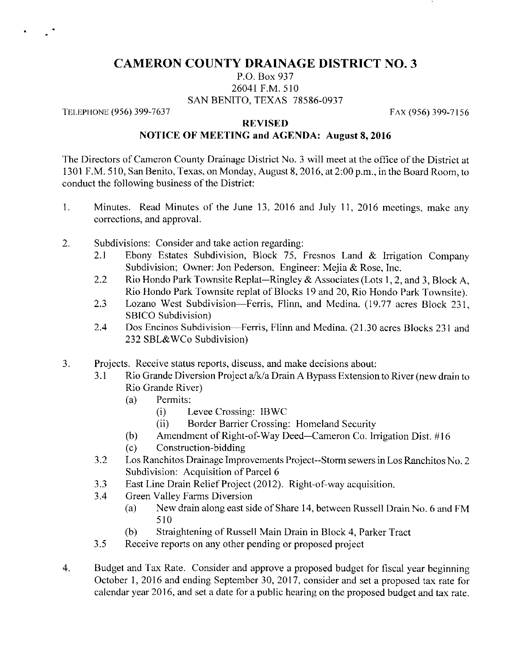## CAMERON COUNTY DRAINAGE DISTRICT NO. 3

## P.0. Box 937 26041 F.M.510 SAN BENITO, TEXAS 78586-0937

TELEPHONE (956) 399-7637

FAX (956) 399-7156

## **REVISED** NOTICE OF MEETING and AGENDA: August 8, 2016

The Directors of Cameron County Drainage District No. 3 will meet at the office of the District at 1301 F.M. 510, San Benito, Texas, on Monday, August 8, 2016, at 2:00 p.m., in the Board Room, to conduct the following business of the District:

- 1. Minutes. Read Minutes of the June 13, 2016 and July 11, 2016 meetings, make any corrections, and approval.
- 2. Subdivisions: Consider and take action regarding:
	- 2.1 Ebony Estates Subdivision, Block 75, Fresnos Land  $\&$  Irrigation Company Subdivision; Owner: Jon Pederson. Engineer: Mejia & Rose, Inc.
	- 2.2 Rio Hondo Park Townsite Replat-Ringley & Associates (Lots 1, 2, and 3, Block A, Rio Hondo Park Townsite replat of Blocks 19 and 20, Rio Hondo Park Townsite).
	- 2.3 Lozano West Subdivision—Ferris, Flinn, and Medina. (19.77 acres Block 231, SBICO Subdivision)
	- 2.4 Dos Encinos Subdivision—Ferris, Flinn and Medina. (21.30 acres Blocks 231 and 232 SBL&WCo Subdivision)
- 3. Projects. Receive status reports, discuss, and make decisions about:
	- 3. 1 Rio Grande Diversion Project a/k/a Drain A Bypass Extension to RIVer (new drain to Rio Grande River)
		- (a) Permits:
			- (i) Levee Crossing: IBWC
			- (ii) Border Barrier Crossing‥ Homeland Security
		- (b) Amendment of Right-of-Way Deed-Cameron Co. Irrigation Dist.  $\#16$
		- (C) Construction-bidding
	- 3.2 Los Ranchitos Drainage Improvements Project--Storm sewers in Los Ranchitos No. 2 Subdivision: Acquisition of Parcel 6
	- 3.3 East Line Drain Relief Project (2012). Right-of-way acquisition.
	- 3.4 Green Valley Farms Diversion
		- (a) New drain along east side of Share 14, between Russell Drain No. 6 and FM 510
		- (b) Straightening of Russell Main Drain in Block 4, Parker Tract
	- 3.5 Receive reports on any other pending or proposed project
- $\overline{4}$ Budget and Tax Rate. Consider and approve a proposed budget for fiscal year beginning October 1, 2016 and ending September 30, 2017, consider and set a proposed tax rate for calendar year 2016, and set a date for a public hearing on the proposed budget and tax rate.